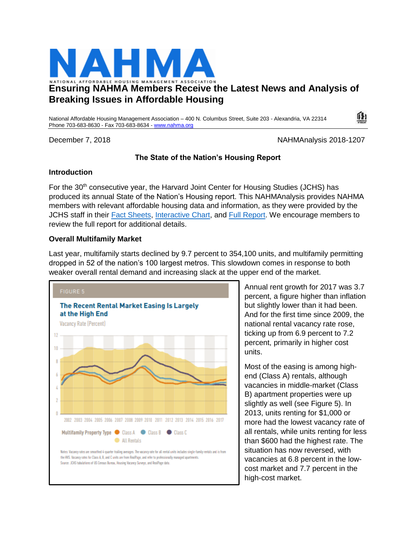

# **Ensuring NAHMA Members Receive the Latest News and Analysis of Breaking Issues in Affordable Housing**

National Affordable Housing Management Association – 400 N. Columbus Street, Suite 203 - Alexandria, VA 22314 Phone 703-683-8630 - Fax 703-683-8634 - [www.nahma.org](http://www.nahma.org/)

December 7, 2018 NAHMAnalysis 2018-1207

 $\mathbf{I}$ 

# **The State of the Nation's Housing Report**

### **Introduction**

For the 30<sup>th</sup> consecutive year, the Harvard Joint Center for Housing Studies (JCHS) has produced its annual State of the Nation's Housing report. This NAHMAnalysis provides NAHMA members with relevant affordable housing data and information, as they were provided by the JCHS staff in their [Fact Sheets,](http://www.jchs.harvard.edu/sites/default/files/Harvard_JCHS_SON_2018_Fact_Sheet.pdf) [Interactive Chart,](http://www.jchs.harvard.edu/state-nations-housing-2018?_ga=2.214192659.563936404.1544029620-238299832.1543245653) and [Full Report.](http://www.jchs.harvard.edu/state-nations-housing-2018?_ga=2.214192659.563936404.1544029620-238299832.1543245653) We encourage members to review the full report for additional details.

# **Overall Multifamily Market**

Last year, multifamily starts declined by 9.7 percent to 354,100 units, and multifamily permitting dropped in 52 of the nation's 100 largest metros. This slowdown comes in response to both weaker overall rental demand and increasing slack at the upper end of the market.



Annual rent growth for 2017 was 3.7 percent, a figure higher than inflation but slightly lower than it had been. And for the first time since 2009, the national rental vacancy rate rose, ticking up from 6.9 percent to 7.2 percent, primarily in higher cost units.

Most of the easing is among highend (Class A) rentals, although vacancies in middle-market (Class B) apartment properties were up slightly as well (see Figure 5). In 2013, units renting for \$1,000 or more had the lowest vacancy rate of all rentals, while units renting for less than \$600 had the highest rate. The situation has now reversed, with vacancies at 6.8 percent in the lowcost market and 7.7 percent in the high-cost market.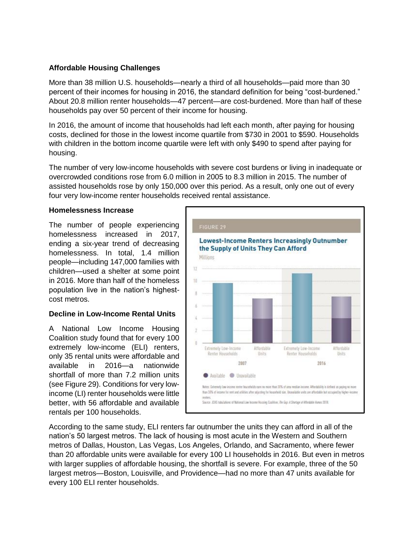# **Affordable Housing Challenges**

More than 38 million U.S. households—nearly a third of all households—paid more than 30 percent of their incomes for housing in 2016, the standard definition for being "cost-burdened." About 20.8 million renter households—47 percent—are cost-burdened. More than half of these households pay over 50 percent of their income for housing.

In 2016, the amount of income that households had left each month, after paying for housing costs, declined for those in the lowest income quartile from \$730 in 2001 to \$590. Households with children in the bottom income quartile were left with only \$490 to spend after paying for housing.

The number of very low-income households with severe cost burdens or living in inadequate or overcrowded conditions rose from 6.0 million in 2005 to 8.3 million in 2015. The number of assisted households rose by only 150,000 over this period. As a result, only one out of every four very low-income renter households received rental assistance.

#### **Homelessness Increase**

The number of people experiencing homelessness increased in 2017, ending a six-year trend of decreasing homelessness. In total, 1.4 million people—including 147,000 families with children—used a shelter at some point in 2016. More than half of the homeless population live in the nation's highestcost metros.

#### **Decline in Low-Income Rental Units**

A National Low Income Housing Coalition study found that for every 100 extremely low-income (ELI) renters, only 35 rental units were affordable and available in 2016—a nationwide shortfall of more than 7.2 million units (see Figure 29). Conditions for very lowincome (LI) renter households were little better, with 56 affordable and available rentals per 100 households.



According to the same study, ELI renters far outnumber the units they can afford in all of the nation's 50 largest metros. The lack of housing is most acute in the Western and Southern metros of Dallas, Houston, Las Vegas, Los Angeles, Orlando, and Sacramento, where fewer than 20 affordable units were available for every 100 LI households in 2016. But even in metros with larger supplies of affordable housing, the shortfall is severe. For example, three of the 50 largest metros—Boston, Louisville, and Providence—had no more than 47 units available for every 100 ELI renter households.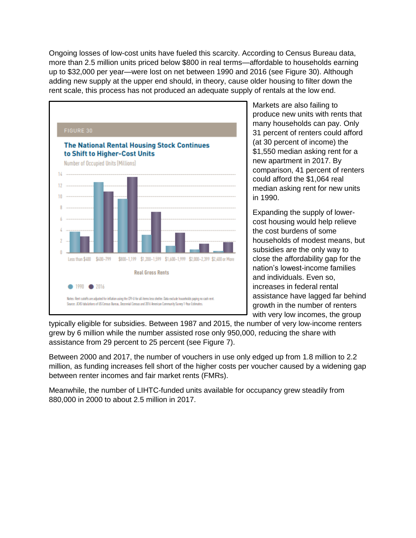Ongoing losses of low-cost units have fueled this scarcity. According to Census Bureau data, more than 2.5 million units priced below \$800 in real terms—affordable to households earning up to \$32,000 per year—were lost on net between 1990 and 2016 (see Figure 30). Although adding new supply at the upper end should, in theory, cause older housing to filter down the rent scale, this process has not produced an adequate supply of rentals at the low end.



Markets are also failing to produce new units with rents that many households can pay. Only 31 percent of renters could afford (at 30 percent of income) the \$1,550 median asking rent for a new apartment in 2017. By comparison, 41 percent of renters could afford the \$1,064 real median asking rent for new units in 1990.

Expanding the supply of lowercost housing would help relieve the cost burdens of some households of modest means, but subsidies are the only way to close the affordability gap for the nation's lowest-income families and individuals. Even so, increases in federal rental assistance have lagged far behind growth in the number of renters with very low incomes, the group

typically eligible for subsidies. Between 1987 and 2015, the number of very low-income renters grew by 6 million while the number assisted rose only 950,000, reducing the share with assistance from 29 percent to 25 percent (see Figure 7).

Between 2000 and 2017, the number of vouchers in use only edged up from 1.8 million to 2.2 million, as funding increases fell short of the higher costs per voucher caused by a widening gap between renter incomes and fair market rents (FMRs).

Meanwhile, the number of LIHTC-funded units available for occupancy grew steadily from 880,000 in 2000 to about 2.5 million in 2017.